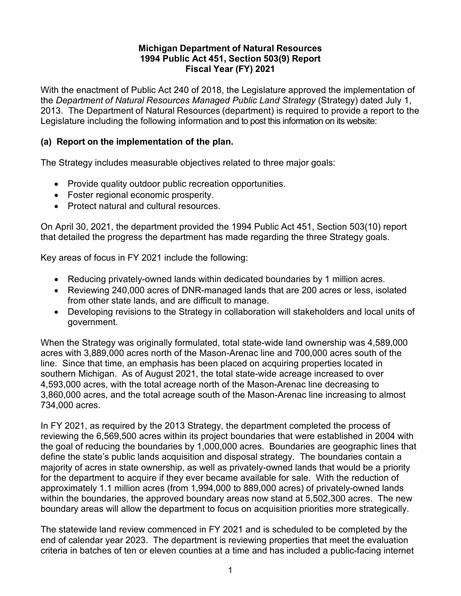## **Michigan Department of Natural Resources 1994 Public Act 451, Section 503(9) Report Fiscal Year (FY) 2021**

With the enactment of Public Act 240 of 2018, the Legislature approved the implementation of the *Department of Natural Resources Managed Public Land Strategy* (Strategy) dated July 1, 2013. The Department of Natural Resources (department) is required to provide a report to the Legislature including the following information and to post this information on its website:

## **(a) Report on the implementation of the plan.**

The Strategy includes measurable objectives related to three major goals:

- Provide quality outdoor public recreation opportunities.
- Foster regional economic prosperity.
- Protect natural and cultural resources.

On April 30, 2021, the department provided the 1994 Public Act 451, Section 503(10) report that detailed the progress the department has made regarding the three Strategy goals.

Key areas of focus in FY 2021 include the following:

- Reducing privately-owned lands within dedicated boundaries by 1 million acres.
- Reviewing 240,000 acres of DNR-managed lands that are 200 acres or less, isolated from other state lands, and are difficult to manage.
- Developing revisions to the Strategy in collaboration will stakeholders and local units of government.

When the Strategy was originally formulated, total state-wide land ownership was 4,589,000 acres with 3,889,000 acres north of the Mason-Arenac line and 700,000 acres south of the line. Since that time, an emphasis has been placed on acquiring properties located in southern Michigan. As of August 2021, the total state-wide acreage increased to over 4,593,000 acres, with the total acreage north of the Mason-Arenac line decreasing to 3,860,000 acres, and the total acreage south of the Mason-Arenac line increasing to almost 734,000 acres.

In FY 2021, as required by the 2013 Strategy, the department completed the process of reviewing the 6,569,500 acres within its project boundaries that were established in 2004 with the goal of reducing the boundaries by 1,000,000 acres. Boundaries are geographic lines that define the state's public lands acquisition and disposal strategy. The boundaries contain a majority of acres in state ownership, as well as privately-owned lands that would be a priority for the department to acquire if they ever became available for sale. With the reduction of approximately 1.1 million acres (from 1,994,000 to 889,000 acres) of privately-owned lands within the boundaries, the approved boundary areas now stand at 5,502,300 acres. The new boundary areas will allow the department to focus on acquisition priorities more strategically.

The statewide land review commenced in FY 2021 and is scheduled to be completed by the end of calendar year 2023. The department is reviewing properties that meet the evaluation criteria in batches of ten or eleven counties at a time and has included a public-facing internet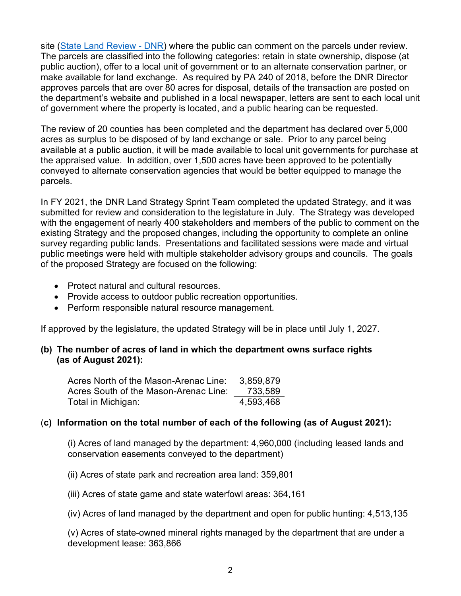site [\(State Land Review -](https://www.michigan.gov/dnr/0,4570,7-350-79136_79262_105797---,00.html) DNR) where the public can comment on the parcels under review. The parcels are classified into the following categories: retain in state ownership, dispose (at public auction), offer to a local unit of government or to an alternate conservation partner, or make available for land exchange. As required by PA 240 of 2018, before the DNR Director approves parcels that are over 80 acres for disposal, details of the transaction are posted on the department's website and published in a local newspaper, letters are sent to each local unit of government where the property is located, and a public hearing can be requested.

The review of 20 counties has been completed and the department has declared over 5,000 acres as surplus to be disposed of by land exchange or sale. Prior to any parcel being available at a public auction, it will be made available to local unit governments for purchase at the appraised value. In addition, over 1,500 acres have been approved to be potentially conveyed to alternate conservation agencies that would be better equipped to manage the parcels.

In FY 2021, the DNR Land Strategy Sprint Team completed the updated Strategy, and it was submitted for review and consideration to the legislature in July. The Strategy was developed with the engagement of nearly 400 stakeholders and members of the public to comment on the existing Strategy and the proposed changes, including the opportunity to complete an online survey regarding public lands. Presentations and facilitated sessions were made and virtual public meetings were held with multiple stakeholder advisory groups and councils. The goals of the proposed Strategy are focused on the following:

- Protect natural and cultural resources.
- Provide access to outdoor public recreation opportunities.
- Perform responsible natural resource management.

If approved by the legislature, the updated Strategy will be in place until July 1, 2027.

## **(b) The number of acres of land in which the department owns surface rights (as of August 2021):**

| Acres North of the Mason-Arenac Line: | 3,859,879 |
|---------------------------------------|-----------|
| Acres South of the Mason-Arenac Line: | 733,589   |
| Total in Michigan:                    | 4,593,468 |

## (**c) Information on the total number of each of the following (as of August 2021):**

(i) Acres of land managed by the department: 4,960,000 (including leased lands and conservation easements conveyed to the department)

(ii) Acres of state park and recreation area land: 359,801

(iii) Acres of state game and state waterfowl areas: 364,161

(iv) Acres of land managed by the department and open for public hunting: 4,513,135

(v) Acres of state-owned mineral rights managed by the department that are under a development lease: 363,866